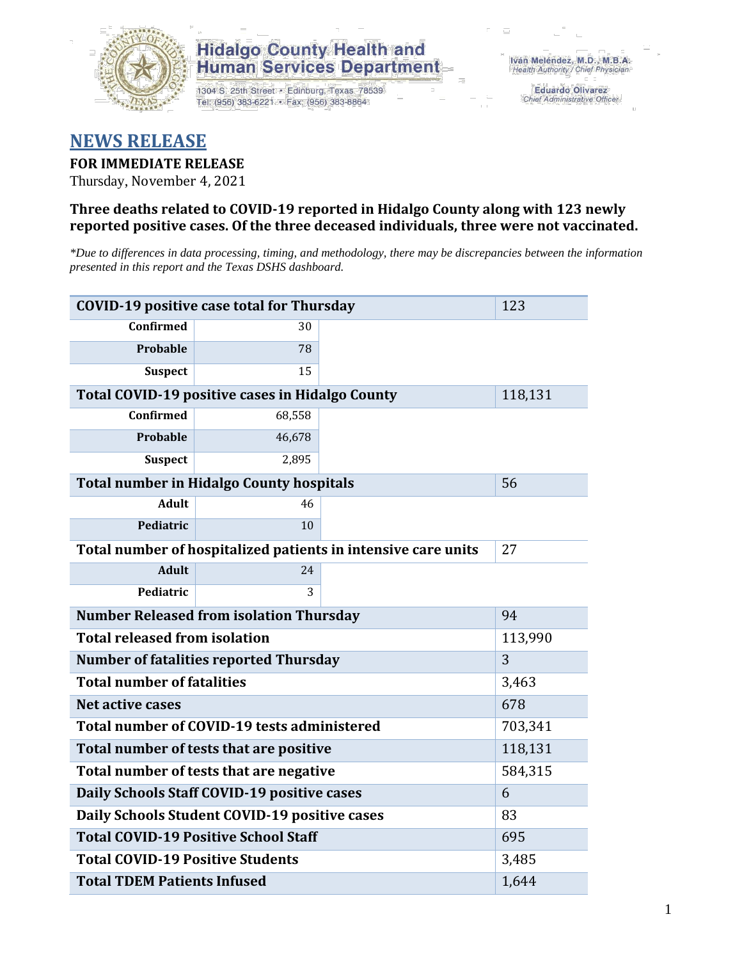

## **Hidalgo County Health and Human Services Department**

1304 S. 25th Street · Edinburg, Texas 78539 Tel: (956) 383-6221 · Fax: (956) 383-8864

**Eduardo Olivarez** Chief Administrative Officer

# **NEWS RELEASE**

## **FOR IMMEDIATE RELEASE**

Thursday, November 4, 2021

## **Three deaths related to COVID-19 reported in Hidalgo County along with 123 newly reported positive cases. Of the three deceased individuals, three were not vaccinated.**

*\*Due to differences in data processing, timing, and methodology, there may be discrepancies between the information presented in this report and the Texas DSHS dashboard.*

| <b>COVID-19 positive case total for Thursday</b>              | 123                                             |  |         |  |  |  |
|---------------------------------------------------------------|-------------------------------------------------|--|---------|--|--|--|
| <b>Confirmed</b>                                              | 30                                              |  |         |  |  |  |
| <b>Probable</b>                                               | 78                                              |  |         |  |  |  |
| <b>Suspect</b>                                                | 15                                              |  |         |  |  |  |
|                                                               | Total COVID-19 positive cases in Hidalgo County |  | 118,131 |  |  |  |
| <b>Confirmed</b>                                              | 68,558                                          |  |         |  |  |  |
| <b>Probable</b>                                               | 46,678                                          |  |         |  |  |  |
| <b>Suspect</b>                                                | 2,895                                           |  |         |  |  |  |
| <b>Total number in Hidalgo County hospitals</b>               | 56                                              |  |         |  |  |  |
| <b>Adult</b>                                                  | 46                                              |  |         |  |  |  |
| Pediatric                                                     | 10                                              |  |         |  |  |  |
| Total number of hospitalized patients in intensive care units | 27                                              |  |         |  |  |  |
| <b>Adult</b>                                                  | 24                                              |  |         |  |  |  |
| Pediatric                                                     | 3                                               |  |         |  |  |  |
| <b>Number Released from isolation Thursday</b><br>94          |                                                 |  |         |  |  |  |
| <b>Total released from isolation</b><br>113,990               |                                                 |  |         |  |  |  |
| <b>Number of fatalities reported Thursday</b>                 | 3                                               |  |         |  |  |  |
| <b>Total number of fatalities</b>                             | 3,463                                           |  |         |  |  |  |
| Net active cases                                              | 678                                             |  |         |  |  |  |
| Total number of COVID-19 tests administered                   | 703,341                                         |  |         |  |  |  |
| Total number of tests that are positive                       | 118,131                                         |  |         |  |  |  |
| Total number of tests that are negative                       | 584,315                                         |  |         |  |  |  |
| Daily Schools Staff COVID-19 positive cases                   | 6                                               |  |         |  |  |  |
| Daily Schools Student COVID-19 positive cases                 | 83                                              |  |         |  |  |  |
| <b>Total COVID-19 Positive School Staff</b>                   | 695                                             |  |         |  |  |  |
| <b>Total COVID-19 Positive Students</b>                       | 3,485                                           |  |         |  |  |  |
| <b>Total TDEM Patients Infused</b>                            | 1,644                                           |  |         |  |  |  |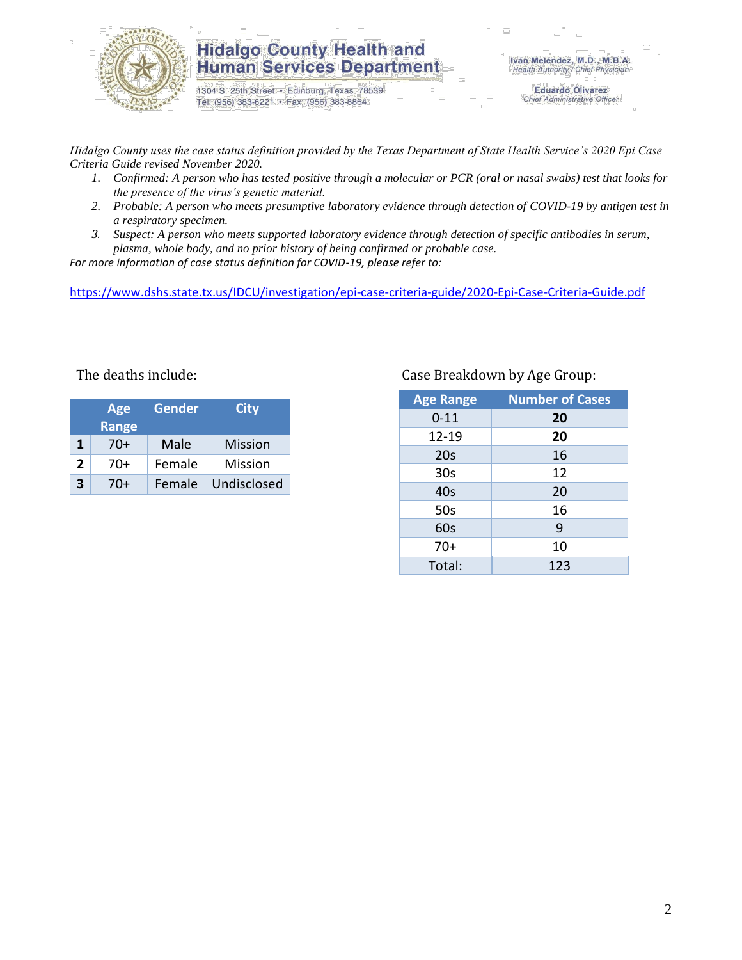

## **Hidalgo County Health and Human Services Department**

1304 S. 25th Street · Edinburg, Texas 78539 Tel: (956) 383-6221 · Fax: (956) 383-8864

**Eduardo Olivarez** Chief Administrative Officer

*Hidalgo County uses the case status definition provided by the Texas Department of State Health Service's 2020 Epi Case Criteria Guide revised November 2020.*

- *1. Confirmed: A person who has tested positive through a molecular or PCR (oral or nasal swabs) test that looks for the presence of the virus's genetic material.*
- *2. Probable: A person who meets presumptive laboratory evidence through detection of COVID-19 by antigen test in a respiratory specimen.*
- *3. Suspect: A person who meets supported laboratory evidence through detection of specific antibodies in serum, plasma, whole body, and no prior history of being confirmed or probable case.*

*For more information of case status definition for COVID-19, please refer to:*

<https://www.dshs.state.tx.us/IDCU/investigation/epi-case-criteria-guide/2020-Epi-Case-Criteria-Guide.pdf>

|   | Age<br><b>Range</b> | <b>Gender</b> | <b>City</b>    |
|---|---------------------|---------------|----------------|
| 1 | $70+$               | Male          | <b>Mission</b> |
| 2 | 70+                 | Female        | Mission        |
| 3 | 70+                 | Female        | Undisclosed    |

### The deaths include: Case Breakdown by Age Group:

| <b>Age Range</b> | <b>Number of Cases</b> |
|------------------|------------------------|
| $0 - 11$         | 20                     |
| 12-19            | 20                     |
| 20s              | 16                     |
| 30 <sub>s</sub>  | 12                     |
| 40s              | 20                     |
| 50s              | 16                     |
| 60s              | 9                      |
| $70+$            | 10                     |
| Total:           | 123                    |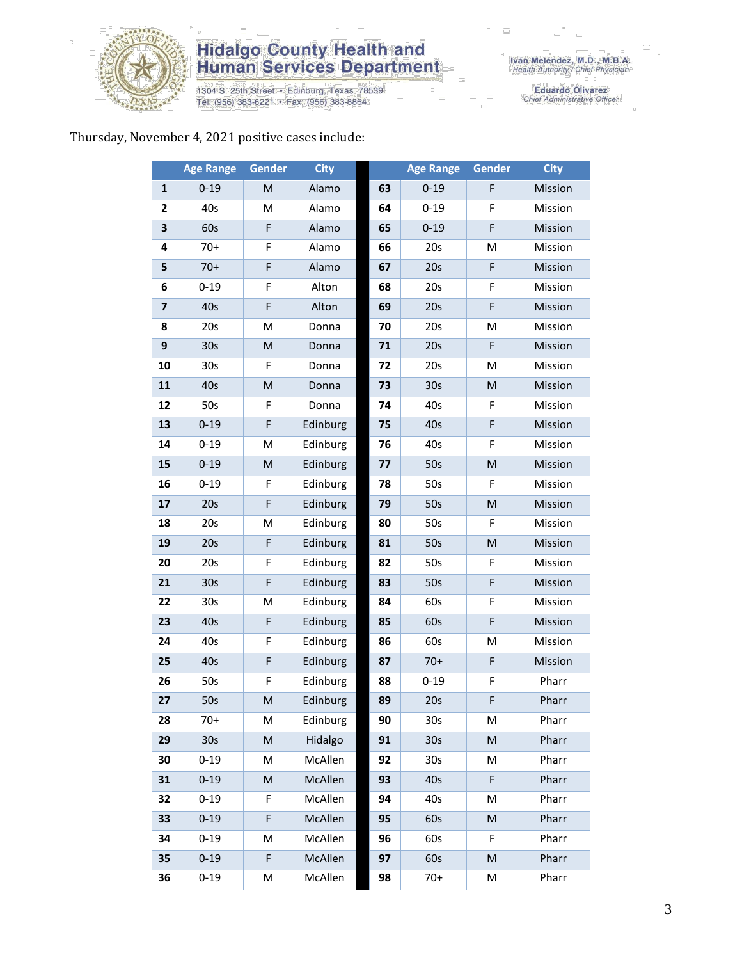

# **Hidalgo County Health and<br>Human Services Department**

1304 S. 25th Street • Edinburg, Texas 78539<br>Tel: (956) 383-6221 • Fax: (956) 383-8864

Eduardo Olivarez<br>Chief Administrative Officer

### Thursday, November 4, 2021 positive cases include:

|                         | <b>Age Range</b> | <b>Gender</b>                                                                                              | <b>City</b> |    | <b>Age Range</b> | <b>Gender</b>                                                                                              | <b>City</b> |
|-------------------------|------------------|------------------------------------------------------------------------------------------------------------|-------------|----|------------------|------------------------------------------------------------------------------------------------------------|-------------|
| $\mathbf{1}$            | $0 - 19$         | M                                                                                                          | Alamo       | 63 | $0 - 19$         | F                                                                                                          | Mission     |
| 2                       | 40s              | M                                                                                                          | Alamo       | 64 | $0 - 19$         | F                                                                                                          | Mission     |
| 3                       | 60s              | F                                                                                                          | Alamo       | 65 | $0 - 19$         | F                                                                                                          | Mission     |
| 4                       | $70+$            | F                                                                                                          | Alamo       | 66 | 20s              | M                                                                                                          | Mission     |
| 5                       | $70+$            | F                                                                                                          | Alamo       | 67 | 20s              | F                                                                                                          | Mission     |
| 6                       | $0 - 19$         | F                                                                                                          | Alton       | 68 | 20s              | F                                                                                                          | Mission     |
| $\overline{\mathbf{z}}$ | 40s              | F                                                                                                          | Alton       | 69 | 20s              | F                                                                                                          | Mission     |
| 8                       | 20s              | M                                                                                                          | Donna       | 70 | 20s              | M                                                                                                          | Mission     |
| 9                       | 30 <sub>s</sub>  | M                                                                                                          | Donna       | 71 | 20s              | F                                                                                                          | Mission     |
| 10                      | 30 <sub>s</sub>  | F                                                                                                          | Donna       | 72 | 20s              | M                                                                                                          | Mission     |
| 11                      | 40s              | M                                                                                                          | Donna       | 73 | 30 <sub>s</sub>  | ${\sf M}$                                                                                                  | Mission     |
| 12                      | 50s              | F                                                                                                          | Donna       | 74 | 40s              | F                                                                                                          | Mission     |
| 13                      | $0 - 19$         | F                                                                                                          | Edinburg    | 75 | 40s              | F                                                                                                          | Mission     |
| 14                      | $0 - 19$         | M                                                                                                          | Edinburg    | 76 | 40s              | F                                                                                                          | Mission     |
| 15                      | $0 - 19$         | $\mathsf{M}% _{T}=\mathsf{M}_{T}\!\left( a,b\right) ,\ \mathsf{M}_{T}=\mathsf{M}_{T}\!\left( a,b\right) ,$ | Edinburg    | 77 | 50s              | $\mathsf{M}% _{T}=\mathsf{M}_{T}\!\left( a,b\right) ,\ \mathsf{M}_{T}=\mathsf{M}_{T}\!\left( a,b\right) ,$ | Mission     |
| 16                      | $0 - 19$         | F                                                                                                          | Edinburg    | 78 | 50s              | F                                                                                                          | Mission     |
| 17                      | 20s              | F                                                                                                          | Edinburg    | 79 | 50s              | $\mathsf{M}% _{T}=\mathsf{M}_{T}\!\left( a,b\right) ,\ \mathsf{M}_{T}=\mathsf{M}_{T}\!\left( a,b\right) ,$ | Mission     |
| 18                      | 20s              | M                                                                                                          | Edinburg    | 80 | 50s              | F                                                                                                          | Mission     |
| 19                      | 20s              | F                                                                                                          | Edinburg    | 81 | 50s              | M                                                                                                          | Mission     |
| 20                      | 20s              | F                                                                                                          | Edinburg    | 82 | 50s              | F                                                                                                          | Mission     |
| 21                      | 30 <sub>s</sub>  | $\mathsf F$                                                                                                | Edinburg    | 83 | 50s              | F                                                                                                          | Mission     |
| 22                      | 30 <sub>s</sub>  | M                                                                                                          | Edinburg    | 84 | 60s              | F                                                                                                          | Mission     |
| 23                      | 40s              | F                                                                                                          | Edinburg    | 85 | 60s              | F                                                                                                          | Mission     |
| 24                      | 40s              | F                                                                                                          | Edinburg    | 86 | 60s              | M                                                                                                          | Mission     |
| 25                      | 40s              | F                                                                                                          | Edinburg    | 87 | $70+$            | F                                                                                                          | Mission     |
| 26                      | 50s              | F                                                                                                          | Edinburg    | 88 | $0 - 19$         | F                                                                                                          | Pharr       |
| 27                      | 50s              | M                                                                                                          | Edinburg    | 89 | 20s              | F                                                                                                          | Pharr       |
| 28                      | 70+              | М                                                                                                          | Edinburg    | 90 | 30s              | M                                                                                                          | Pharr       |
| 29                      | 30 <sub>s</sub>  | M                                                                                                          | Hidalgo     | 91 | 30 <sub>s</sub>  | $\mathsf{M}% _{T}=\mathsf{M}_{T}\!\left( a,b\right) ,\ \mathsf{M}_{T}=\mathsf{M}_{T}\!\left( a,b\right) ,$ | Pharr       |
| 30                      | $0 - 19$         | M                                                                                                          | McAllen     | 92 | 30 <sub>s</sub>  | M                                                                                                          | Pharr       |
| 31                      | $0 - 19$         | M                                                                                                          | McAllen     | 93 | 40s              | F                                                                                                          | Pharr       |
| 32                      | $0 - 19$         | F                                                                                                          | McAllen     | 94 | 40s              | M                                                                                                          | Pharr       |
| 33                      | $0 - 19$         | F                                                                                                          | McAllen     | 95 | 60s              | M                                                                                                          | Pharr       |
| 34                      | $0 - 19$         | M                                                                                                          | McAllen     | 96 | 60s              | F                                                                                                          | Pharr       |
| 35                      | $0 - 19$         | F                                                                                                          | McAllen     | 97 | 60s              | $\mathsf{M}% _{T}=\mathsf{M}_{T}\!\left( a,b\right) ,\ \mathsf{M}_{T}=\mathsf{M}_{T}\!\left( a,b\right) ,$ | Pharr       |
| 36                      | $0 - 19$         | M                                                                                                          | McAllen     | 98 | $70+$            | M                                                                                                          | Pharr       |